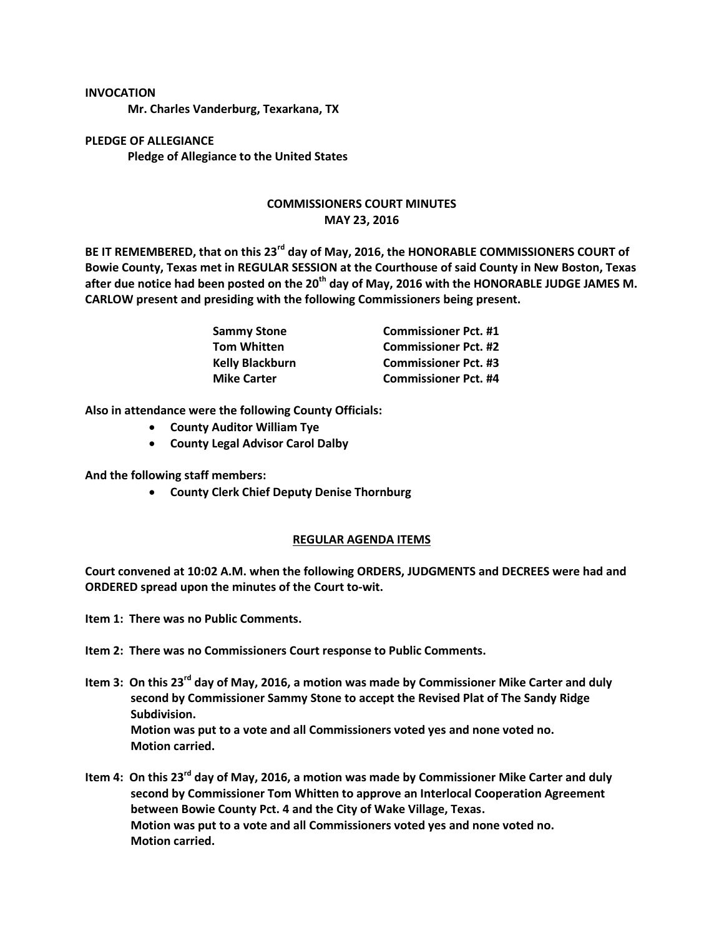## **INVOCATION**

**Mr. Charles Vanderburg, Texarkana, TX**

**PLEDGE OF ALLEGIANCE Pledge of Allegiance to the United States**

## **COMMISSIONERS COURT MINUTES MAY 23, 2016**

**BE IT REMEMBERED, that on this 23rd day of May, 2016, the HONORABLE COMMISSIONERS COURT of Bowie County, Texas met in REGULAR SESSION at the Courthouse of said County in New Boston, Texas after due notice had been posted on the 20th day of May, 2016 with the HONORABLE JUDGE JAMES M. CARLOW present and presiding with the following Commissioners being present.**

| Sammy Stone<br>Tom Whitten | <b>Commissioner Pct. #1</b> |
|----------------------------|-----------------------------|
|                            | <b>Commissioner Pct. #2</b> |
| Kelly Blackburn            | <b>Commissioner Pct. #3</b> |
| <b>Mike Carter</b>         | <b>Commissioner Pct. #4</b> |

**Also in attendance were the following County Officials:**

- **County Auditor William Tye**
- **County Legal Advisor Carol Dalby**

**And the following staff members:**

**County Clerk Chief Deputy Denise Thornburg**

## **REGULAR AGENDA ITEMS**

**Court convened at 10:02 A.M. when the following ORDERS, JUDGMENTS and DECREES were had and ORDERED spread upon the minutes of the Court to-wit.**

**Item 1: There was no Public Comments.**

- **Item 2: There was no Commissioners Court response to Public Comments.**
- **Item 3: On this 23rd day of May, 2016, a motion was made by Commissioner Mike Carter and duly second by Commissioner Sammy Stone to accept the Revised Plat of The Sandy Ridge Subdivision. Motion was put to a vote and all Commissioners voted yes and none voted no. Motion carried.**
- **Item 4: On this 23rd day of May, 2016, a motion was made by Commissioner Mike Carter and duly second by Commissioner Tom Whitten to approve an Interlocal Cooperation Agreement between Bowie County Pct. 4 and the City of Wake Village, Texas. Motion was put to a vote and all Commissioners voted yes and none voted no. Motion carried.**